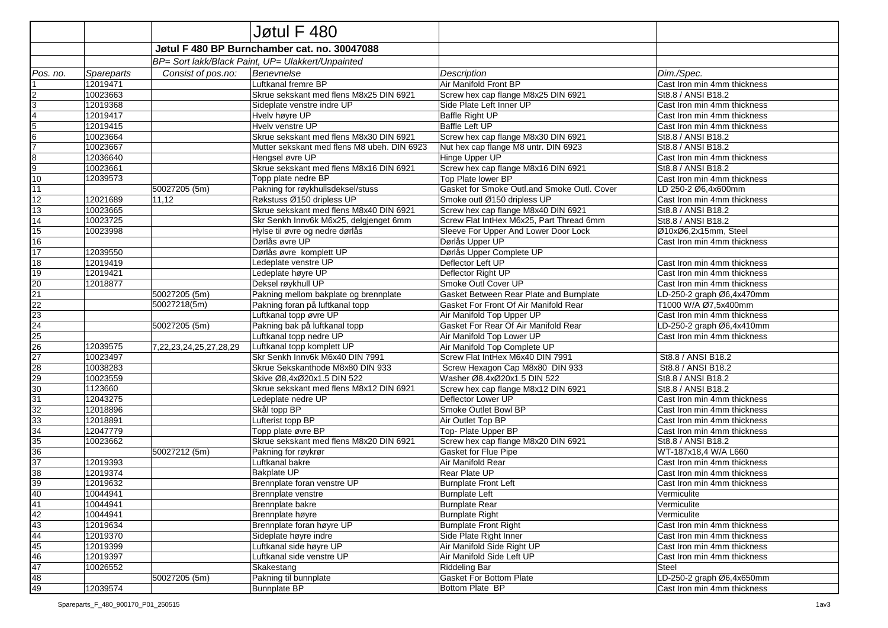|                         |                                                   |                        | Jøtul F 480                                 |                                             |                             |  |  |  |  |
|-------------------------|---------------------------------------------------|------------------------|---------------------------------------------|---------------------------------------------|-----------------------------|--|--|--|--|
|                         | Jøtul F 480 BP Burnchamber cat. no. 30047088      |                        |                                             |                                             |                             |  |  |  |  |
|                         | BP= Sort lakk/Black Paint, UP= Ulakkert/Unpainted |                        |                                             |                                             |                             |  |  |  |  |
| Pos. no.                | Spareparts                                        | Consist of pos.no:     | Benevnelse                                  | Description                                 | Dim./Spec.                  |  |  |  |  |
|                         | 12019471                                          |                        | Luftkanal fremre BP                         | Air Manifold Front BP                       | Cast Iron min 4mm thickness |  |  |  |  |
| $\boldsymbol{2}$        | 10023663                                          |                        | Skrue sekskant med flens M8x25 DIN 6921     | Screw hex cap flange M8x25 DIN 6921         | St8.8 / ANSI B18.2          |  |  |  |  |
| $\overline{3}$          | 12019368                                          |                        | Sideplate venstre indre UP                  | Side Plate Left Inner UP                    | Cast Iron min 4mm thickness |  |  |  |  |
| $\overline{\mathbf{4}}$ | 12019417                                          |                        | Hvelv høyre UP                              | Baffle Right UP                             | Cast Iron min 4mm thickness |  |  |  |  |
| 5                       | 12019415                                          |                        | Hvelv venstre UP                            | <b>Baffle Left UP</b>                       | Cast Iron min 4mm thickness |  |  |  |  |
| $\sqrt{6}$              | 10023664                                          |                        | Skrue sekskant med flens M8x30 DIN 6921     | Screw hex cap flange M8x30 DIN 6921         | St8.8 / ANSI B18.2          |  |  |  |  |
| $\overline{7}$          | 10023667                                          |                        | Mutter sekskant med flens M8 ubeh. DIN 6923 | Nut hex cap flange M8 untr. DIN 6923        | St8.8 / ANSI B18.2          |  |  |  |  |
| $\bf{8}$                | 12036640                                          |                        | Hengsel øvre UP                             | Hinge Upper UP                              | Cast Iron min 4mm thickness |  |  |  |  |
| $\overline{9}$          | 10023661                                          |                        | Skrue sekskant med flens M8x16 DIN 6921     | Screw hex cap flange M8x16 DIN 6921         | St8.8 / ANSI B18.2          |  |  |  |  |
| 10                      | 12039573                                          |                        | Topp plate nedre BP                         | Top Plate lower BP                          | Cast Iron min 4mm thickness |  |  |  |  |
| 11                      |                                                   | 50027205 (5m)          | Pakning for røykhullsdeksel/stuss           | Gasket for Smoke Outl.and Smoke Outl. Cover | LD 250-2 Ø6,4x600mm         |  |  |  |  |
| 12                      | 12021689                                          | 11,12                  | Røkstuss Ø150 dripless UP                   | Smoke outl Ø150 dripless UP                 | Cast Iron min 4mm thickness |  |  |  |  |
| 13                      | 10023665                                          |                        | Skrue sekskant med flens M8x40 DIN 6921     | Screw hex cap flange M8x40 DIN 6921         | St8.8 / ANSI B18.2          |  |  |  |  |
| 14                      | 10023725                                          |                        | Skr Senkh Innv6k M6x25, delgjenget 6mm      | Screw Flat IntHex M6x25, Part Thread 6mm    | St8.8 / ANSI B18.2          |  |  |  |  |
| 15                      | 10023998                                          |                        | Hylse til øvre og nedre dørlås              | Sleeve For Upper And Lower Door Lock        | Ø10xØ6,2x15mm, Steel        |  |  |  |  |
| 16                      |                                                   |                        | Dørlås øvre UP                              | Dørlås Upper UP                             | Cast Iron min 4mm thickness |  |  |  |  |
| 17                      | 12039550                                          |                        | Dørlås øvre komplett UP                     | Dørlås Upper Complete UP                    |                             |  |  |  |  |
| 18                      | 12019419                                          |                        | Ledeplate venstre UP                        | Deflector Left UP                           | Cast Iron min 4mm thickness |  |  |  |  |
| 19                      | 12019421                                          |                        | Ledeplate høyre UP                          | Deflector Right UP                          | Cast Iron min 4mm thickness |  |  |  |  |
| 20                      | 12018877                                          |                        | Deksel røykhull UP                          | Smoke Outl Cover UP                         | Cast Iron min 4mm thickness |  |  |  |  |
| $\overline{21}$         |                                                   | 50027205 (5m)          | Pakning mellom bakplate og brennplate       | Gasket Between Rear Plate and Burnplate     | LD-250-2 graph Ø6,4x470mm   |  |  |  |  |
| 22                      |                                                   | 50027218(5m)           | Pakning foran på luftkanal topp             | Gasket For Front Of Air Manifold Rear       | T1000 W/A Ø7.5x400mm        |  |  |  |  |
| 23                      |                                                   |                        | Luftkanal topp øvre UP                      | Air Manifold Top Upper UP                   | Cast Iron min 4mm thickness |  |  |  |  |
| 24                      |                                                   | 50027205 (5m)          | Pakning bak på luftkanal topp               | Gasket For Rear Of Air Manifold Rear        | LD-250-2 graph Ø6,4x410mm   |  |  |  |  |
| 25                      |                                                   |                        | Luftkanal topp nedre UP                     | Air Manifold Top Lower UP                   | Cast Iron min 4mm thickness |  |  |  |  |
| 26                      | 12039575                                          | 7,22,23,24,25,27,28,29 | Luftkanal topp komplett UP                  | Air Manifold Top Complete UP                |                             |  |  |  |  |
| 27                      | 10023497                                          |                        | Skr Senkh Innv6k M6x40 DIN 7991             | Screw Flat IntHex M6x40 DIN 7991            | St8.8 / ANSI B18.2          |  |  |  |  |
| 28                      | 10038283                                          |                        | Skrue Sekskanthode M8x80 DIN 933            | Screw Hexagon Cap M8x80 DIN 933             | St8.8 / ANSI B18.2          |  |  |  |  |
| 29                      | 10023559                                          |                        | Skive Ø8,4xØ20x1.5 DIN 522                  | Washer Ø8.4xØ20x1.5 DIN 522                 | St8.8 / ANSI B18.2          |  |  |  |  |
| 30                      | 1123660                                           |                        | Skrue sekskant med flens M8x12 DIN 6921     | Screw hex cap flange M8x12 DIN 6921         | St8.8 / ANSI B18.2          |  |  |  |  |
| 31                      | 12043275                                          |                        | Ledeplate nedre UP                          | Deflector Lower UP                          | Cast Iron min 4mm thickness |  |  |  |  |
| 32                      | 12018896                                          |                        | Skål topp BP                                | Smoke Outlet Bowl BP                        | Cast Iron min 4mm thickness |  |  |  |  |
| 33                      | 12018891                                          |                        | Lufterist topp BP                           | Air Outlet Top BP                           | Cast Iron min 4mm thickness |  |  |  |  |
| 34                      | 12047779                                          |                        | Topp plate øvre BP                          | Top-Plate Upper BP                          | Cast Iron min 4mm thickness |  |  |  |  |
| 35                      | 10023662                                          |                        | Skrue sekskant med flens M8x20 DIN 6921     | Screw hex cap flange M8x20 DIN 6921         | St8.8 / ANSI B18.2          |  |  |  |  |
| 36                      |                                                   | 50027212 (5m)          | Pakning for røykrør                         | Gasket for Flue Pipe                        | WT-187x18,4 W/A L660        |  |  |  |  |
| 37                      | 12019393                                          |                        | Luftkanal bakre                             | Air Manifold Rear                           | Cast Iron min 4mm thickness |  |  |  |  |
| 38                      | 12019374                                          |                        | <b>Bakplate UP</b>                          | Rear Plate UP                               | Cast Iron min 4mm thickness |  |  |  |  |
| 39                      | 12019632                                          |                        | Brennplate foran venstre UP                 | <b>Burnplate Front Left</b>                 | Cast Iron min 4mm thickness |  |  |  |  |
| 40                      | 10044941                                          |                        | Brennplate venstre                          | <b>Burnplate Left</b>                       | Vermiculite                 |  |  |  |  |
|                         | 10044941                                          |                        | Brennplate bakre                            | <b>Burnplate Rear</b>                       | Vermiculite                 |  |  |  |  |
| $\frac{41}{42}$         | 10044941                                          |                        | Brennplate høyre                            | Burnplate Right                             | Vermiculite                 |  |  |  |  |
| 43                      | 12019634                                          |                        | Brennplate foran høyre UP                   | <b>Burnplate Front Right</b>                | Cast Iron min 4mm thickness |  |  |  |  |
| 44                      | 12019370                                          |                        | Sideplate høyre indre                       | Side Plate Right Inner                      | Cast Iron min 4mm thickness |  |  |  |  |
| 45                      | 12019399                                          |                        | Luftkanal side høyre UP                     | Air Manifold Side Right UP                  | Cast Iron min 4mm thickness |  |  |  |  |
| 46                      | 12019397                                          |                        | Luftkanal side venstre UP                   | Air Manifold Side Left UP                   | Cast Iron min 4mm thickness |  |  |  |  |
| 47                      | 10026552                                          |                        | Skakestang                                  | <b>Riddeling Bar</b>                        | Steel                       |  |  |  |  |
| 48                      |                                                   | 50027205 (5m)          | Pakning til bunnplate                       | <b>Gasket For Bottom Plate</b>              | LD-250-2 graph Ø6,4x650mm   |  |  |  |  |
| 49                      | 12039574                                          |                        | <b>Bunnplate BP</b>                         | Bottom Plate BP                             | Cast Iron min 4mm thickness |  |  |  |  |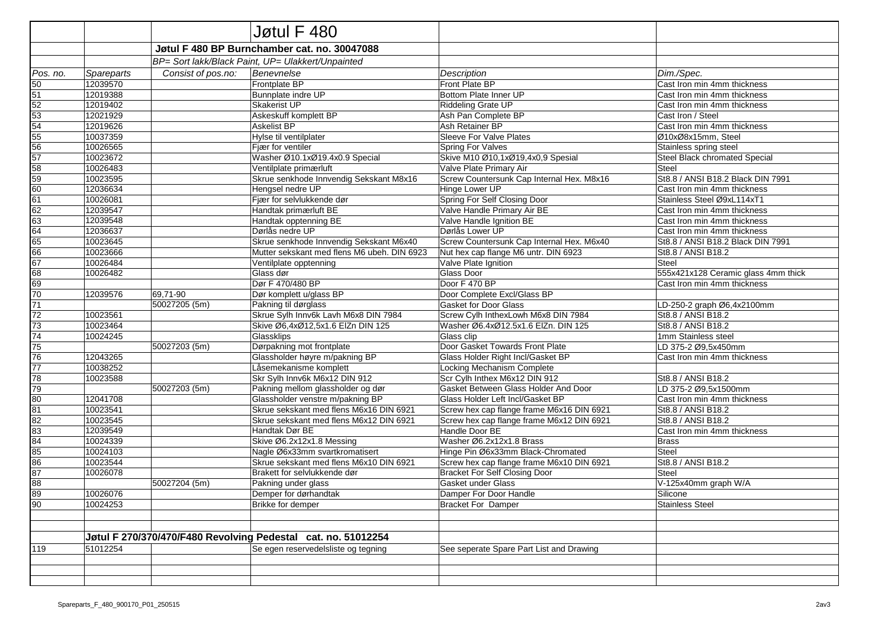|                 |            |                    | Jøtul F 480                                                   |                                           |                                     |
|-----------------|------------|--------------------|---------------------------------------------------------------|-------------------------------------------|-------------------------------------|
|                 |            |                    | Jøtul F 480 BP Burnchamber cat. no. 30047088                  |                                           |                                     |
|                 |            |                    | BP= Sort lakk/Black Paint, UP= Ulakkert/Unpainted             |                                           |                                     |
| Pos. no.        | Spareparts | Consist of pos.no: | Benevnelse                                                    | Description                               | Dim./Spec.                          |
| 50              | 12039570   |                    | Frontplate BP                                                 | Front Plate BP                            | Cast Iron min 4mm thickness         |
| 51              | 12019388   |                    | Bunnplate indre UP                                            | Bottom Plate Inner UP                     | Cast Iron min 4mm thickness         |
| 52              | 12019402   |                    | Skakerist UP                                                  | <b>Riddeling Grate UP</b>                 | Cast Iron min 4mm thickness         |
| 53              | 12021929   |                    | Askeskuff komplett BP                                         | Ash Pan Complete BP                       | Cast Iron / Steel                   |
| 54              | 12019626   |                    | <b>Askelist BP</b>                                            | Ash Retainer BP                           | Cast Iron min 4mm thickness         |
| 55              | 10037359   |                    | Hylse til ventilplater                                        | Sleeve For Valve Plates                   | Ø10xØ8x15mm, Steel                  |
| 56              | 10026565   |                    | Fjær for ventiler                                             | <b>Spring For Valves</b>                  | Stainless spring steel              |
| 57              | 10023672   |                    | Washer Ø10.1xØ19.4x0.9 Special                                | Skive M10 Ø10,1xØ19,4x0,9 Spesial         | Steel Black chromated Special       |
| 58              | 10026483   |                    | Ventilplate primærluft                                        | Valve Plate Primary Air                   | <b>Steel</b>                        |
| 59              | 10023595   |                    | Skrue senkhode Innvendig Sekskant M8x16                       | Screw Countersunk Cap Internal Hex. M8x16 | St8.8 / ANSI B18.2 Black DIN 7991   |
| 60              | 12036634   |                    | Hengsel nedre UP                                              | Hinge Lower UP                            | Cast Iron min 4mm thickness         |
| 61              | 10026081   |                    | Fjær for selvlukkende dør                                     | Spring For Self Closing Door              | Stainless Steel Ø9xL114xT1          |
| 62              | 12039547   |                    | Handtak primærluft BE                                         | Valve Handle Primary Air BE               | Cast Iron min 4mm thickness         |
| 63              | 12039548   |                    | Handtak opptenning BE                                         | Valve Handle Ignition BE                  | Cast Iron min 4mm thickness         |
| 64              | 12036637   |                    | Dørlås nedre UP                                               | Dørlås Lower UP                           | Cast Iron min 4mm thickness         |
| 65              | 10023645   |                    | Skrue senkhode Innvendig Sekskant M6x40                       | Screw Countersunk Cap Internal Hex. M6x40 | St8.8 / ANSI B18.2 Black DIN 7991   |
| 66              | 10023666   |                    | Mutter sekskant med flens M6 ubeh. DIN 6923                   | Nut hex cap flange M6 untr. DIN 6923      | St8.8 / ANSI B18.2                  |
| 67              | 10026484   |                    | Ventilplate opptenning                                        | Valve Plate Ignition                      | Steel                               |
| 68              | 10026482   |                    | Glass dør                                                     | Glass Door                                | 555x421x128 Ceramic glass 4mm thick |
| 69              |            |                    | Dør F 470/480 BP                                              | Door F 470 BP                             | Cast Iron min 4mm thickness         |
| 70              | 12039576   | 69,71-90           | Dør komplett u/glass BP                                       | Door Complete Excl/Glass BP               |                                     |
| 71              |            | 50027205 (5m)      | Pakning til dørglass                                          | <b>Gasket for Door Glass</b>              | LD-250-2 graph Ø6,4x2100mm          |
| 72              | 10023561   |                    | Skrue Sylh Innv6k Lavh M6x8 DIN 7984                          | Screw Cylh InthexLowh M6x8 DIN 7984       | St8.8 / ANSI B18.2                  |
| 73              | 10023464   |                    | Skive Ø6,4xØ12,5x1.6 ElZn DIN 125                             | Washer Ø6.4xØ12.5x1.6 ElZn. DIN 125       | St8.8 / ANSI B18.2                  |
| 74              | 10024245   |                    | Glassklips                                                    | Glass clip                                | 1mm Stainless steel                 |
| $\overline{75}$ |            | 50027203 (5m)      | Dørpakning mot frontplate                                     | Door Gasket Towards Front Plate           | LD 375-2 Ø9,5x450mm                 |
| 76              | 12043265   |                    | Glassholder høyre m/pakning BP                                | Glass Holder Right Incl/Gasket BP         | Cast Iron min 4mm thickness         |
| 77              | 10038252   |                    | Låsemekanisme komplett                                        | Locking Mechanism Complete                |                                     |
| 78              | 10023588   |                    | Skr Sylh Innv6k M6x12 DIN 912                                 | Scr Cylh Inthex M6x12 DIN 912             | St8.8 / ANSI B18.2                  |
| 79              |            | 50027203 (5m)      | Pakning mellom glassholder og dør                             | Gasket Between Glass Holder And Door      | LD 375-2 Ø9,5x1500mm                |
| 80              | 12041708   |                    | Glassholder venstre m/pakning BP                              | Glass Holder Left Incl/Gasket BP          | Cast Iron min 4mm thickness         |
| 81              | 10023541   |                    | Skrue sekskant med flens M6x16 DIN 6921                       | Screw hex cap flange frame M6x16 DIN 6921 | St8.8 / ANSI B18.2                  |
| 82              | 10023545   |                    | Skrue sekskant med flens M6x12 DIN 6921                       | Screw hex cap flange frame M6x12 DIN 6921 | St8.8 / ANSI B18.2                  |
| 83              | 12039549   |                    | Handtak Dør BE                                                | Handle Door BE                            | Cast Iron min 4mm thickness         |
| 84              | 10024339   |                    | Skive Ø6.2x12x1.8 Messing                                     | Washer Ø6.2x12x1.8 Brass                  | <b>Brass</b>                        |
| 85              | 10024103   |                    | Nagle Ø6x33mm svartkromatisert                                | Hinge Pin Ø6x33mm Black-Chromated         | Steel                               |
| 86              | 10023544   |                    | Skrue sekskant med flens M6x10 DIN 6921                       | Screw hex cap flange frame M6x10 DIN 6921 | St8.8 / ANSI B18.2                  |
| 87              | 10026078   |                    | Brakett for selvlukkende dør                                  | <b>Bracket For Self Closing Door</b>      | Steel                               |
| 88              |            | 50027204 (5m)      | Pakning under glass                                           | <b>Gasket under Glass</b>                 | V-125x40mm graph W/A                |
| $\frac{89}{90}$ | 10026076   |                    | Demper for dørhandtak                                         | Damper For Door Handle                    | Silicone                            |
|                 | 10024253   |                    | Brikke for demper                                             | <b>Bracket For Damper</b>                 | Stainless Steel                     |
|                 |            |                    |                                                               |                                           |                                     |
|                 |            |                    | Jøtul F 270/370/470/F480 Revolving Pedestal cat. no. 51012254 |                                           |                                     |
| 119             | 51012254   |                    | Se egen reservedelsliste og tegning                           | See seperate Spare Part List and Drawing  |                                     |
|                 |            |                    |                                                               |                                           |                                     |
|                 |            |                    |                                                               |                                           |                                     |
|                 |            |                    |                                                               |                                           |                                     |